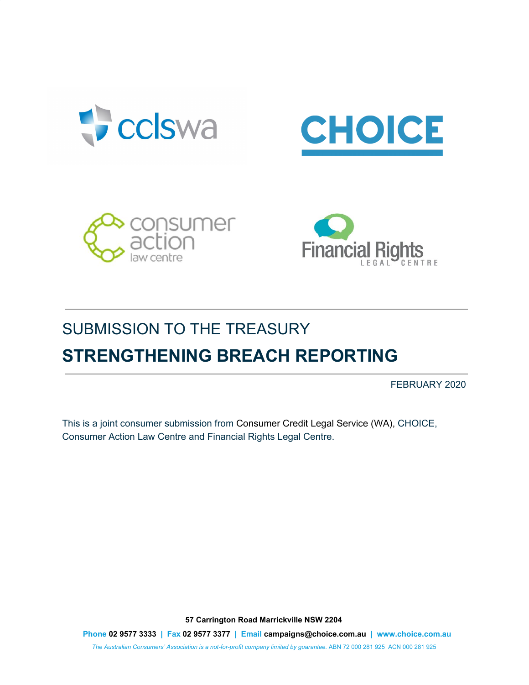







# SUBMISSION TO THE TREASURY **STRENGTHENING BREACH REPORTING**

FEBRUARY 2020

This is a joint consumer submission from Consumer Credit Legal Service (WA), CHOICE, Consumer Action Law Centre and Financial Rights Legal Centre.

**57 Carrington Road Marrickville NSW 2204**

**Phone 02 9577 3333 | Fax 02 9577 3377 | Email campaigns@choice.com.au | www.choice.com.au** *The Australian Consumers' Association is a not-for-profit company limited by guarantee.* ABN 72 000 281 925 ACN 000 281 925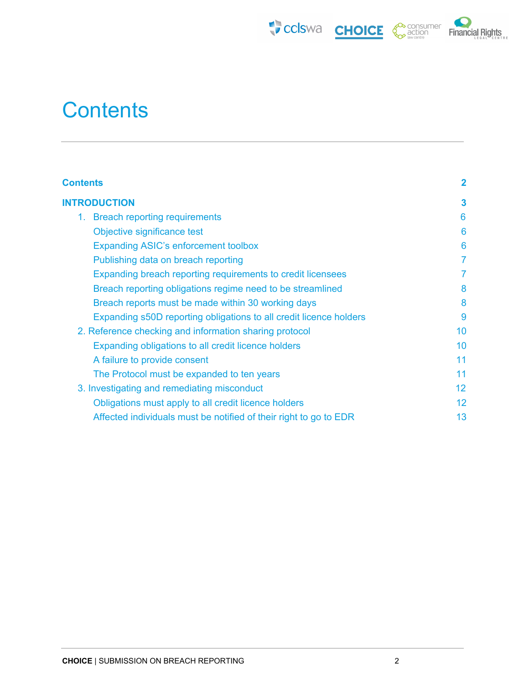





# <span id="page-1-0"></span>**Contents**

| <b>Contents</b>                                                    | $\overline{2}$ |
|--------------------------------------------------------------------|----------------|
| <b>INTRODUCTION</b>                                                | 3              |
| 1. Breach reporting requirements                                   | 6              |
| Objective significance test                                        | 6              |
| <b>Expanding ASIC's enforcement toolbox</b>                        | 6              |
| Publishing data on breach reporting                                | 7              |
| Expanding breach reporting requirements to credit licensees        | $\overline{7}$ |
| Breach reporting obligations regime need to be streamlined         | 8              |
| Breach reports must be made within 30 working days                 | 8              |
| Expanding s50D reporting obligations to all credit licence holders | 9              |
| 2. Reference checking and information sharing protocol             | 10             |
| Expanding obligations to all credit licence holders                | 10             |
| A failure to provide consent                                       | 11             |
| The Protocol must be expanded to ten years                         | 11             |
| 3. Investigating and remediating misconduct                        | 12             |
| Obligations must apply to all credit licence holders               | 12             |
| Affected individuals must be notified of their right to go to EDR  | 13             |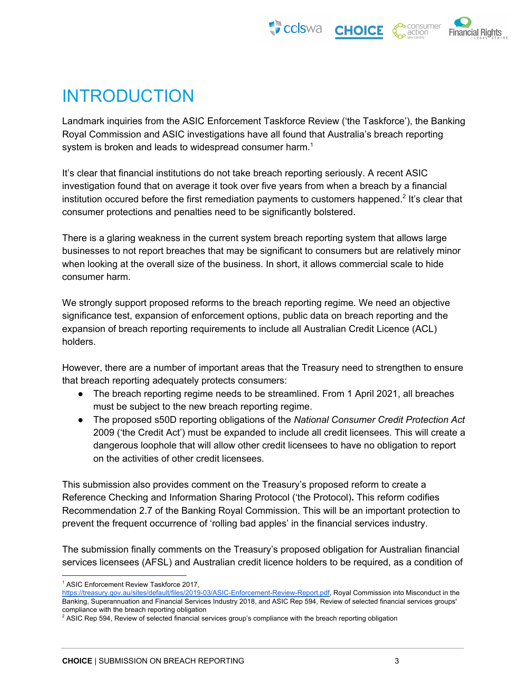



# <span id="page-2-0"></span>INTRODUCTION

Landmark inquiries from the ASIC Enforcement Taskforce Review ('the Taskforce'), the Banking Royal Commission and ASIC investigations have all found that Australia's breach reporting system is broken and leads to widespread consumer harm.<sup>1</sup>

It's clear that financial institutions do not take breach reporting seriously. A recent ASIC investigation found that on average it took over five years from when a breach by a financial institution occured before the first remediation payments to customers happened.<sup>2</sup> It's clear that consumer protections and penalties need to be significantly bolstered.

There is a glaring weakness in the current system breach reporting system that allows large businesses to not report breaches that may be significant to consumers but are relatively minor when looking at the overall size of the business. In short, it allows commercial scale to hide consumer harm.

We strongly support proposed reforms to the breach reporting regime. We need an objective significance test, expansion of enforcement options, public data on breach reporting and the expansion of breach reporting requirements to include all Australian Credit Licence (ACL) holders.

However, there are a number of important areas that the Treasury need to strengthen to ensure that breach reporting adequately protects consumers:

- The breach reporting regime needs to be streamlined. From 1 April 2021, all breaches must be subject to the new breach reporting regime.
- The proposed s50D reporting obligations of the *National Consumer Credit Protection Act* 2009 ('the Credit Act') must be expanded to include all credit licensees. This will create a dangerous loophole that will allow other credit licensees to have no obligation to report on the activities of other credit licensees.

This submission also provides comment on the Treasury's proposed reform to create a Reference Checking and Information Sharing Protocol ('the Protocol)**.** This reform codifies Recommendation 2.7 of the Banking Royal Commission. This will be an important protection to prevent the frequent occurrence of 'rolling bad apples' in the financial services industry.

The submission finally comments on the Treasury's proposed obligation for Australian financial services licensees (AFSL) and Australian credit licence holders to be required, as a condition of

<sup>1</sup> ASIC Enforcement Review Taskforce 2017,

[https://treasury.gov.au/sites/default/files/2019-03/ASIC-Enforcement-Review-Report.pdf,](https://treasury.gov.au/sites/default/files/2019-03/ASIC-Enforcement-Review-Report.pdf) Royal Commission into Misconduct in the Banking, Superannuation and Financial Services Industry 2018, and ASIC Rep 594, Review of selected financial services groups' compliance with the breach reporting obligation

<sup>&</sup>lt;sup>2</sup> ASIC Rep 594, Review of selected financial services group's compliance with the breach reporting obligation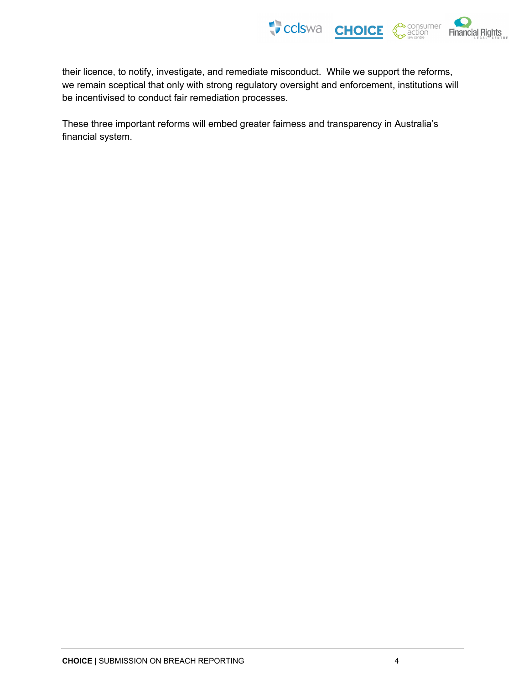

their licence, to notify, investigate, and remediate misconduct. While we support the reforms, we remain sceptical that only with strong regulatory oversight and enforcement, institutions will be incentivised to conduct fair remediation processes.

These three important reforms will embed greater fairness and transparency in Australia's financial system.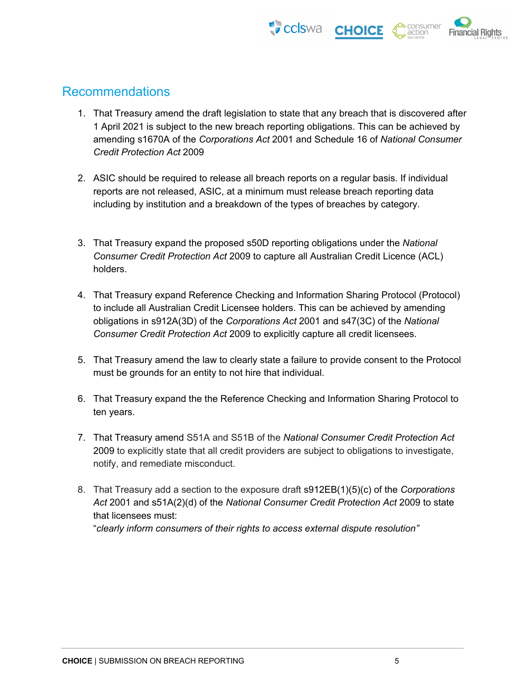



#### Recommendations

- 1. That Treasury amend the draft legislation to state that any breach that is discovered after 1 April 2021 is subject to the new breach reporting obligations. This can be achieved by amending s1670A of the *Corporations Act* 2001 and Schedule 16 of *National Consumer Credit Protection Act* 2009
- 2. ASIC should be required to release all breach reports on a regular basis. If individual reports are not released, ASIC, at a minimum must release breach reporting data including by institution and a breakdown of the types of breaches by category.
- 3. That Treasury expand the proposed s50D reporting obligations under the *National Consumer Credit Protection Act* 2009 to capture all Australian Credit Licence (ACL) holders.
- 4. That Treasury expand Reference Checking and Information Sharing Protocol (Protocol) to include all Australian Credit Licensee holders. This can be achieved by amending obligations in s912A(3D) of the *Corporations Act* 2001 and s47(3C) of the *National Consumer Credit Protection Act* 2009 to explicitly capture all credit licensees.
- 5. That Treasury amend the law to clearly state a failure to provide consent to the Protocol must be grounds for an entity to not hire that individual.
- 6. That Treasury expand the the Reference Checking and Information Sharing Protocol to ten years.
- 7. That Treasury amend S51A and S51B of the *National Consumer Credit Protection Act* 2009 to explicitly state that all credit providers are subject to obligations to investigate, notify, and remediate misconduct.
- 8. That Treasury add a section to the exposure draft s912EB(1)(5)(c) of the *Corporations Act* 2001 and s51A(2)(d) of the *National Consumer Credit Protection Act* 2009 to state that licensees must: "*clearly inform consumers of their rights to access external dispute resolution"*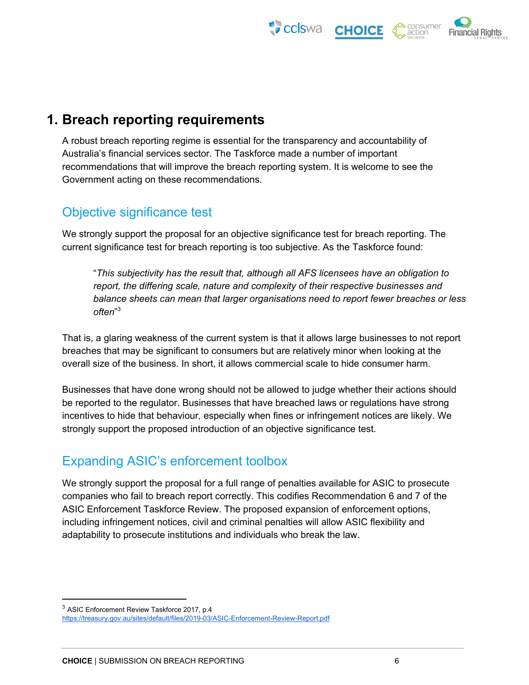



# <span id="page-5-0"></span>**1. Breach reporting requirements**

A robust breach reporting regime is essential for the transparency and accountability of Australia's financial services sector. The Taskforce made a number of important recommendations that will improve the breach reporting system. It is welcome to see the Government acting on these recommendations.

# <span id="page-5-1"></span>Objective significance test

We strongly support the proposal for an objective significance test for breach reporting. The current significance test for breach reporting is too subjective. As the Taskforce found:

"*This subjectivity has the result that, although all AFS licensees have an obligation to report, the differing scale, nature and complexity of their respective businesses and balance sheets can mean that larger organisations need to report fewer breaches or less often*" 3

That is, a glaring weakness of the current system is that it allows large businesses to not report breaches that may be significant to consumers but are relatively minor when looking at the overall size of the business. In short, it allows commercial scale to hide consumer harm.

Businesses that have done wrong should not be allowed to judge whether their actions should be reported to the regulator. Businesses that have breached laws or regulations have strong incentives to hide that behaviour, especially when fines or infringement notices are likely. We strongly support the proposed introduction of an objective significance test.

# <span id="page-5-2"></span>Expanding ASIC's enforcement toolbox

We strongly support the proposal for a full range of penalties available for ASIC to prosecute companies who fail to breach report correctly. This codifies Recommendation 6 and 7 of the ASIC Enforcement Taskforce Review. The proposed expansion of enforcement options, including infringement notices, civil and criminal penalties will allow ASIC flexibility and adaptability to prosecute institutions and individuals who break the law.

<sup>3</sup> ASIC Enforcement Review Taskforce 2017, p.4 <https://treasury.gov.au/sites/default/files/2019-03/ASIC-Enforcement-Review-Report.pdf>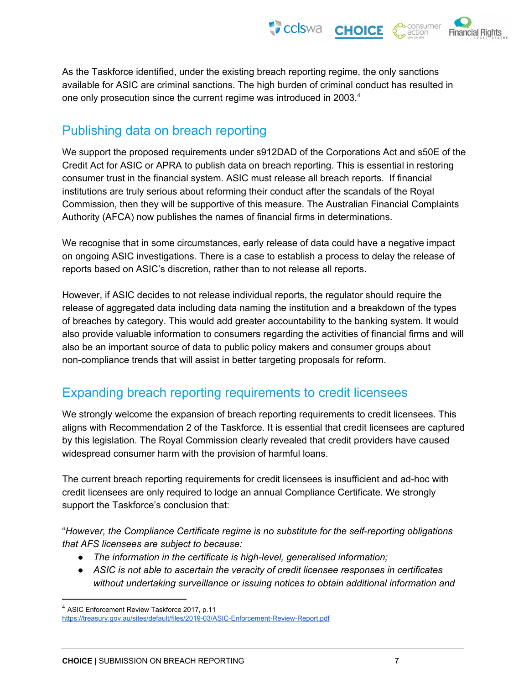

As the Taskforce identified, under the existing breach reporting regime, the only sanctions available for ASIC are criminal sanctions. The high burden of criminal conduct has resulted in one only prosecution since the current regime was introduced in 2003.<sup>4</sup>

#### <span id="page-6-0"></span>Publishing data on breach reporting

We support the proposed requirements under s912DAD of the Corporations Act and s50E of the Credit Act for ASIC or APRA to publish data on breach reporting. This is essential in restoring consumer trust in the financial system. ASIC must release all breach reports. If financial institutions are truly serious about reforming their conduct after the scandals of the Royal Commission, then they will be supportive of this measure. The Australian Financial Complaints Authority (AFCA) now publishes the names of financial firms in determinations.

We recognise that in some circumstances, early release of data could have a negative impact on ongoing ASIC investigations. There is a case to establish a process to delay the release of reports based on ASIC's discretion, rather than to not release all reports.

However, if ASIC decides to not release individual reports, the regulator should require the release of aggregated data including data naming the institution and a breakdown of the types of breaches by category. This would add greater accountability to the banking system. It would also provide valuable information to consumers regarding the activities of financial firms and will also be an important source of data to public policy makers and consumer groups about non-compliance trends that will assist in better targeting proposals for reform.

# <span id="page-6-1"></span>Expanding breach reporting requirements to credit licensees

We strongly welcome the expansion of breach reporting requirements to credit licensees. This aligns with Recommendation 2 of the Taskforce. It is essential that credit licensees are captured by this legislation. The Royal Commission clearly revealed that credit providers have caused widespread consumer harm with the provision of harmful loans.

The current breach reporting requirements for credit licensees is insufficient and ad-hoc with credit licensees are only required to lodge an annual Compliance Certificate. We strongly support the Taskforce's conclusion that:

"*However, the Compliance Certificate regime is no substitute for the self-reporting obligations that AFS licensees are subject to because:*

- *● The information in the certificate is high-level, generalised information;*
- *● ASIC is not able to ascertain the veracity of credit licensee responses in certificates without undertaking surveillance or issuing notices to obtain additional information and*

<sup>4</sup> ASIC Enforcement Review Taskforce 2017, p.11 <https://treasury.gov.au/sites/default/files/2019-03/ASIC-Enforcement-Review-Report.pdf>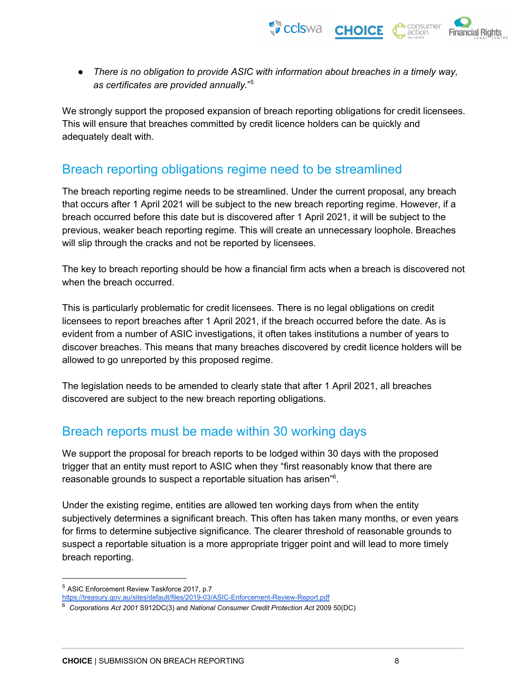

● *There is no obligation to provide ASIC with information about breaches in a timely way, as certificates are provided annually.*" 5

We strongly support the proposed expansion of breach reporting obligations for credit licensees. This will ensure that breaches committed by credit licence holders can be quickly and adequately dealt with.

#### <span id="page-7-0"></span>Breach reporting obligations regime need to be streamlined

The breach reporting regime needs to be streamlined. Under the current proposal, any breach that occurs after 1 April 2021 will be subject to the new breach reporting regime. However, if a breach occurred before this date but is discovered after 1 April 2021, it will be subject to the previous, weaker beach reporting regime. This will create an unnecessary loophole. Breaches will slip through the cracks and not be reported by licensees.

The key to breach reporting should be how a financial firm acts when a breach is discovered not when the breach occurred.

This is particularly problematic for credit licensees. There is no legal obligations on credit licensees to report breaches after 1 April 2021, if the breach occurred before the date. As is evident from a number of ASIC investigations, it often takes institutions a number of years to discover breaches. This means that many breaches discovered by credit licence holders will be allowed to go unreported by this proposed regime.

The legislation needs to be amended to clearly state that after 1 April 2021, all breaches discovered are subject to the new breach reporting obligations.

# <span id="page-7-1"></span>Breach reports must be made within 30 working days

We support the proposal for breach reports to be lodged within 30 days with the proposed trigger that an entity must report to ASIC when they "first reasonably know that there are reasonable grounds to suspect a reportable situation has arisen"<sup>6</sup>.

Under the existing regime, entities are allowed ten working days from when the entity subjectively determines a significant breach. This often has taken many months, or even years for firms to determine subjective significance. The clearer threshold of reasonable grounds to suspect a reportable situation is a more appropriate trigger point and will lead to more timely breach reporting.

<sup>5</sup> ASIC Enforcement Review Taskforce 2017, p.7

<https://treasury.gov.au/sites/default/files/2019-03/ASIC-Enforcement-Review-Report.pdf>

<sup>6</sup> *Corporations Act 2001* S912DC(3) and *National Consumer Credit Protection Act* 2009 50(DC)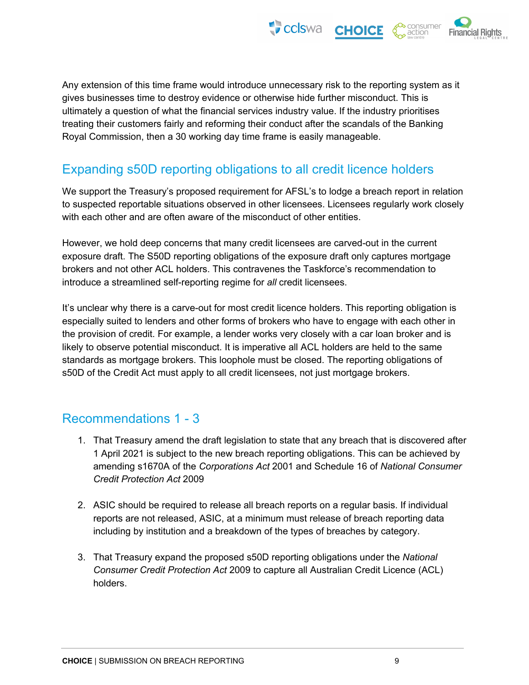

Any extension of this time frame would introduce unnecessary risk to the reporting system as it gives businesses time to destroy evidence or otherwise hide further misconduct. This is ultimately a question of what the financial services industry value. If the industry prioritises treating their customers fairly and reforming their conduct after the scandals of the Banking Royal Commission, then a 30 working day time frame is easily manageable.

#### <span id="page-8-0"></span>Expanding s50D reporting obligations to all credit licence holders

We support the Treasury's proposed requirement for AFSL's to lodge a breach report in relation to suspected reportable situations observed in other licensees. Licensees regularly work closely with each other and are often aware of the misconduct of other entities.

However, we hold deep concerns that many credit licensees are carved-out in the current exposure draft. The S50D reporting obligations of the exposure draft only captures mortgage brokers and not other ACL holders. This contravenes the Taskforce's recommendation to introduce a streamlined self-reporting regime for *all* credit licensees.

It's unclear why there is a carve-out for most credit licence holders. This reporting obligation is especially suited to lenders and other forms of brokers who have to engage with each other in the provision of credit. For example, a lender works very closely with a car loan broker and is likely to observe potential misconduct. It is imperative all ACL holders are held to the same standards as mortgage brokers. This loophole must be closed. The reporting obligations of s50D of the Credit Act must apply to all credit licensees, not just mortgage brokers.

#### Recommendations 1 - 3

- 1. That Treasury amend the draft legislation to state that any breach that is discovered after 1 April 2021 is subject to the new breach reporting obligations. This can be achieved by amending s1670A of the *Corporations Act* 2001 and Schedule 16 of *National Consumer Credit Protection Act* 2009
- 2. ASIC should be required to release all breach reports on a regular basis. If individual reports are not released, ASIC, at a minimum must release of breach reporting data including by institution and a breakdown of the types of breaches by category.
- 3. That Treasury expand the proposed s50D reporting obligations under the *National Consumer Credit Protection Act* 2009 to capture all Australian Credit Licence (ACL) holders.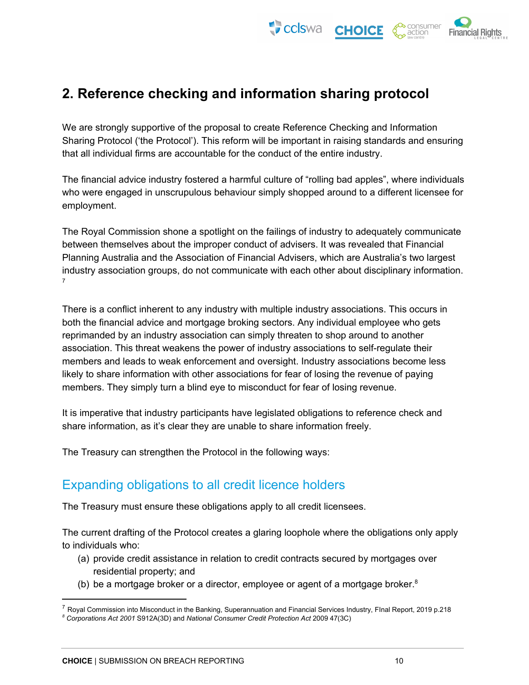CCISWA CHOICE inancial Rights

# <span id="page-9-0"></span>**2. Reference checking and information sharing protocol**

We are strongly supportive of the proposal to create Reference Checking and Information Sharing Protocol ('the Protocol'). This reform will be important in raising standards and ensuring that all individual firms are accountable for the conduct of the entire industry.

The financial advice industry fostered a harmful culture of "rolling bad apples", where individuals who were engaged in unscrupulous behaviour simply shopped around to a different licensee for employment.

The Royal Commission shone a spotlight on the failings of industry to adequately communicate between themselves about the improper conduct of advisers. It was revealed that Financial Planning Australia and the Association of Financial Advisers, which are Australia's two largest industry association groups, do not communicate with each other about disciplinary information. 7

There is a conflict inherent to any industry with multiple industry associations. This occurs in both the financial advice and mortgage broking sectors. Any individual employee who gets reprimanded by an industry association can simply threaten to shop around to another association. This threat weakens the power of industry associations to self-regulate their members and leads to weak enforcement and oversight. Industry associations become less likely to share information with other associations for fear of losing the revenue of paying members. They simply turn a blind eye to misconduct for fear of losing revenue.

It is imperative that industry participants have legislated obligations to reference check and share information, as it's clear they are unable to share information freely.

<span id="page-9-1"></span>The Treasury can strengthen the Protocol in the following ways:

#### Expanding obligations to all credit licence holders

The Treasury must ensure these obligations apply to all credit licensees.

The current drafting of the Protocol creates a glaring loophole where the obligations only apply to individuals who:

- (a) provide credit assistance in relation to credit contracts secured by mortgages over residential property; and
- (b) be a mortgage broker or a director, employee or agent of a mortgage broker. $8$

 $^7$  Royal Commission into Misconduct in the Banking, Superannuation and Financial Services Industry, Flnal Report, 2019 p.218

*<sup>8</sup> Corporations Act 2001* S912A(3D) and *National Consumer Credit Protection Act* 2009 47(3C)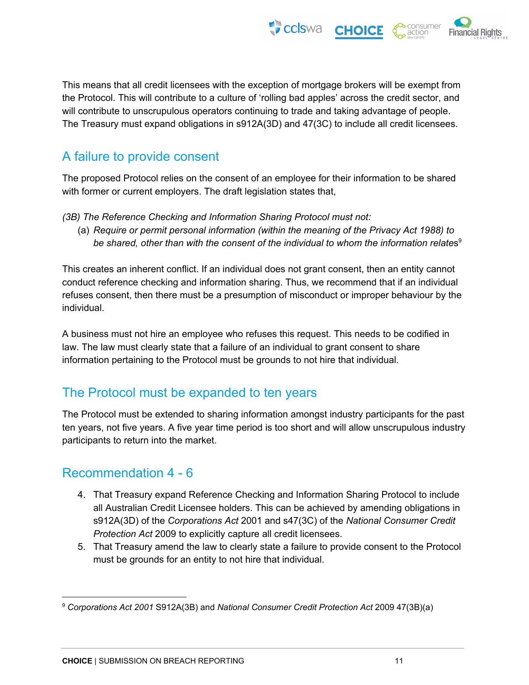This means that all credit licensees with the exception of mortgage brokers will be exempt from the Protocol. This will contribute to a culture of 'rolling bad apples' across the credit sector, and will contribute to unscrupulous operators continuing to trade and taking advantage of people. The Treasury must expand obligations in s912A(3D) and 47(3C) to include all credit licensees.

 $\bullet$  cclswa

**CHOICE** 

**Financial Rights** 

# <span id="page-10-0"></span>A failure to provide consent

The proposed Protocol relies on the consent of an employee for their information to be shared with former or current employers. The draft legislation states that,

- *(3B) The Reference Checking and Information Sharing Protocol must not:*
	- (a) *Require or permit personal information (within the meaning of the Privacy Act 1988) to be shared, other than with the consent of the individual to whom the information relate*s 9

This creates an inherent conflict. If an individual does not grant consent, then an entity cannot conduct reference checking and information sharing. Thus, we recommend that if an individual refuses consent, then there must be a presumption of misconduct or improper behaviour by the individual.

A business must not hire an employee who refuses this request. This needs to be codified in law. The law must clearly state that a failure of an individual to grant consent to share information pertaining to the Protocol must be grounds to not hire that individual.

# <span id="page-10-1"></span>The Protocol must be expanded to ten years

The Protocol must be extended to sharing information amongst industry participants for the past ten years, not five years. A five year time period is too short and will allow unscrupulous industry participants to return into the market.

#### Recommendation 4 - 6

- 4. That Treasury expand Reference Checking and Information Sharing Protocol to include all Australian Credit Licensee holders. This can be achieved by amending obligations in s912A(3D) of the *Corporations Act* 2001 and s47(3C) of the *National Consumer Credit Protection Act* 2009 to explicitly capture all credit licensees.
- 5. That Treasury amend the law to clearly state a failure to provide consent to the Protocol must be grounds for an entity to not hire that individual.

<sup>9</sup> *Corporations Act 2001* S912A(3B) and *National Consumer Credit Protection Act* 2009 47(3B)(a)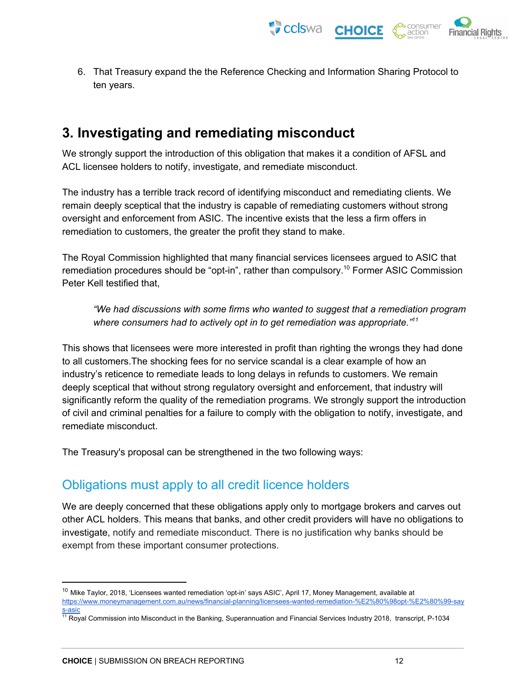CCISWA CHOICE **Financial Rights** 

6. That Treasury expand the the Reference Checking and Information Sharing Protocol to ten years.

# <span id="page-11-0"></span>**3. Investigating and remediating misconduct**

We strongly support the introduction of this obligation that makes it a condition of AFSL and ACL licensee holders to notify, investigate, and remediate misconduct.

The industry has a terrible track record of identifying misconduct and remediating clients. We remain deeply sceptical that the industry is capable of remediating customers without strong oversight and enforcement from ASIC. The incentive exists that the less a firm offers in remediation to customers, the greater the profit they stand to make.

The Royal Commission highlighted that many financial services licensees argued to ASIC that remediation procedures should be "opt-in", rather than compulsory.<sup>10</sup> Former ASIC Commission Peter Kell testified that,

*"We had discussions with some firms who wanted to suggest that a remediation program where consumers had to actively opt in to get remediation was appropriate." 11*

This shows that licensees were more interested in profit than righting the wrongs they had done to all customers.The shocking fees for no service scandal is a clear example of how an industry's reticence to remediate leads to long delays in refunds to customers. We remain deeply sceptical that without strong regulatory oversight and enforcement, that industry will significantly reform the quality of the remediation programs. We strongly support the introduction of civil and criminal penalties for a failure to comply with the obligation to notify, investigate, and remediate misconduct.

<span id="page-11-1"></span>The Treasury's proposal can be strengthened in the two following ways:

#### Obligations must apply to all credit licence holders

We are deeply concerned that these obligations apply only to mortgage brokers and carves out other ACL holders. This means that banks, and other credit providers will have no obligations to investigate, notify and remediate misconduct. There is no justification why banks should be exempt from these important consumer protections.

<sup>&</sup>lt;sup>10</sup> Mike Taylor, 2018, 'Licensees wanted remediation 'opt-in' says ASIC', April 17, Money Management, available at [https://www.moneymanagement.com.au/news/financial-planning/licensees-wanted-remediation-%E2%80%98opt-%E2%80%99-say](https://www.moneymanagement.com.au/news/financial-planning/licensees-wanted-remediation-%E2%80%98opt-%E2%80%99-says-asic) [s-asic](https://www.moneymanagement.com.au/news/financial-planning/licensees-wanted-remediation-%E2%80%98opt-%E2%80%99-says-asic)

<sup>&</sup>lt;sup>11</sup> Royal Commission into Misconduct in the Banking, Superannuation and Financial Services Industry 2018, transcript, P-1034